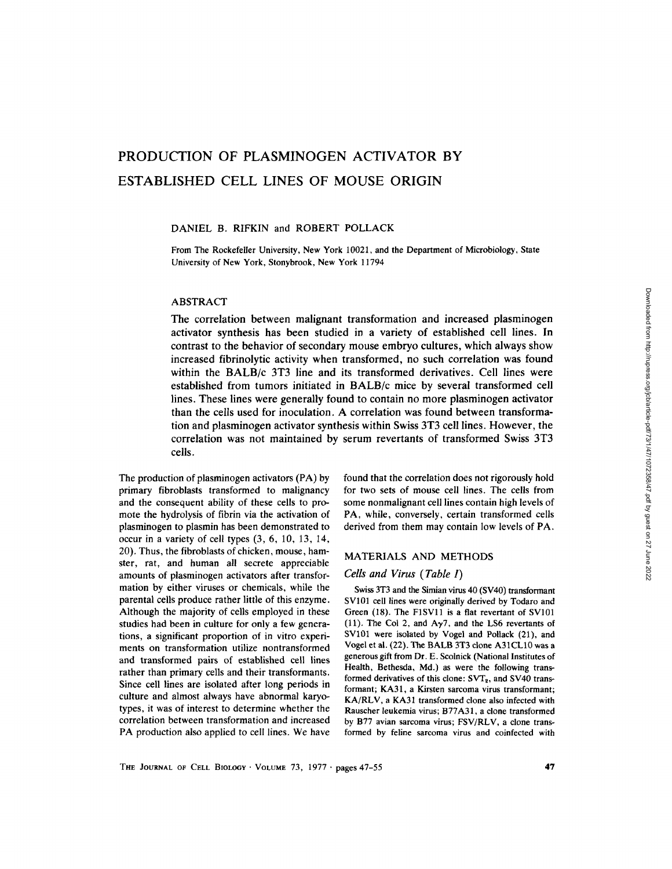# PRODUCTION OF PLASMINOGEN ACTIVATOR BY ESTABLISHED CELL LINES OF MOUSE ORIGIN

#### DANIEL B. RIFKIN and ROBERT POLLACK

From The Rockefeller University, New York 10021, and the Department of Microbiology, State University of New York, Stonybrook, New York 11794

## ABSTRACT

The correlation between malignant transformation and increased plasminogen activator synthesis has been studied in a variety of established cell lines. In contrast to the behavior of secondary mouse embryo cultures, which always show increased fibrinolytic activity when transformed, no such correlation was found within the BALB/c 3T3 line and its transformed derivatives. Cell lines were established from tumors initiated in BALB/c mice by several transformed cell lines. These lines were generally found to contain no more plasminogen activator than the cells used for inoculation. A correlation was found between transformation and plasminogen activator synthesis within Swiss 3T3 cell lines. However, the correlation was not maintained by serum revertants of transformed Swiss 3T3 cells.

The production of plasminogen activators (PA) by primary fibroblasts transformed to malignancy and the consequent ability of these cells to promote the hydrolysis of fibrin via the activation of plasminogen to plasmin has been demonstrated to occur in a variety of cell types (3, 6, 10, 13, 14, 20). Thus, the fibroblasts of chicken, mouse, hamster, rat, and human all secrete appreciable amounts of plasminogen activators after transformation by either viruses or chemicals, while the parental cells produce rather little of this enzyme. Although the majority of cells employed in these studies had been in culture for only a few generations, a significant proportion of in vitro experiments on transformation utilize nontransformed and transformed pairs of established cell lines rather than primary cells and their transformants. Since cell lines are isolated after long periods in culture and almost always have abnormal karyotypes, it was of interest to determine whether the correlation between transformation and increased PA production also applied to cell lines. We have found that the correlation does not rigorously hold for two sets of mouse cell lines. The cells from some nonmalignant cell lines contain high levels of PA, while, conversely, certain transformed cells derived from them may contain low levels of PA.

#### MATERIALS AND METHODS

## *Cells and Virus (Table I)*

Swiss 3T3 and the Simian virus 40 (SV40) transformant SV101 cell lines were originally derived by Todaro and Green (18). The FlSVll is a flat revertant of SV101 (11). The Col 2, and  $A\gamma$ <sup>7</sup>, and the LS6 revertants of SV101 were isolated by Vogel and Pollack (21), and Vogel et ai. (22). The BALB 3T3 clone A31CL10 was a generous gift from Dr. E. Scolnick (National Institutes of Health, Bethesda, Md.) as were the following transformed derivatives of this clone:  $SVT_2$ , and  $SVI0$  transformant; KA31, a Kirsten sarcoma virus transformant; KA/RLV, a KA31 transformed clone also infected with Rauscher leukemia virus; B77A31, a clone transformed by B77 avian sarcoma virus; FSV/RLV, a clone transformed by feline sarcoma virus and coinfected with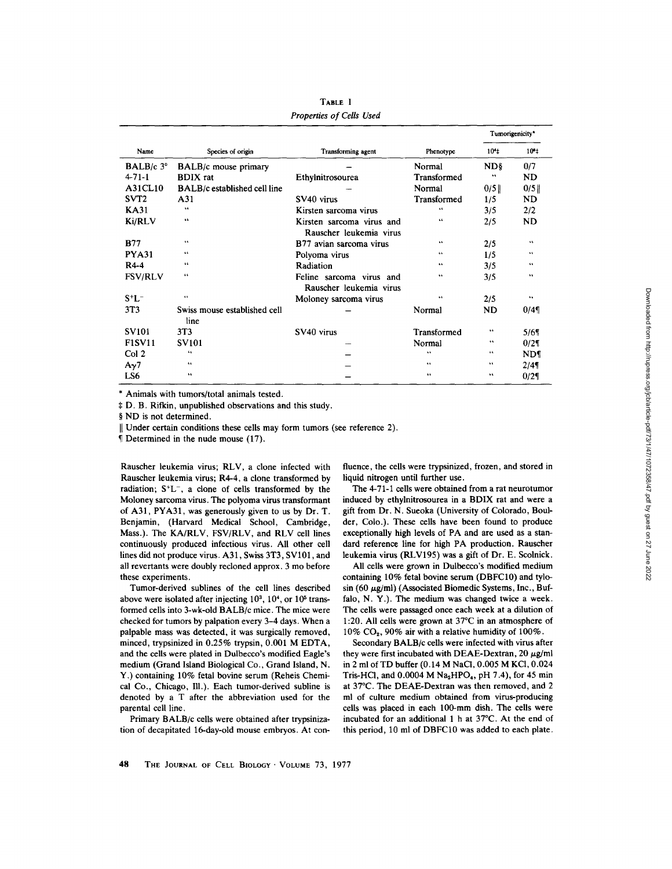|                               |                              |                           |             |                 | Tumorigenicity* |
|-------------------------------|------------------------------|---------------------------|-------------|-----------------|-----------------|
| Name                          | Species of origin            | Transforming agent        | Phenotype   | 10 <sup>4</sup> | $10 - 1$        |
| <b>BALB</b> / $c$ 3 $\degree$ | <b>BALB/c</b> mouse primary  |                           | Normal      | ND§             | 0/7             |
| $4 - 71 - 1$                  | <b>BDIX</b> rat              | Ethylnitrosourea          | Transformed | 44              | ND.             |
| A31CL10                       | BALB/c established cell line |                           | Normal      | $0/5$           | 0/5             |
| SVT <sub>2</sub>              | A31                          | SV <sub>40</sub> virus    | Transformed | 1/5             | ND.             |
| <b>KA31</b>                   | 44                           | Kirsten sarcoma virus     | 46          | 3/5             | 2/2             |
| Ki/RLV                        | $\bullet$                    | Kirsten sarcoma virus and | 66          | 2/5             | ND              |
|                               |                              | Rauscher leukemia virus   |             |                 |                 |
| <b>B77</b>                    | 66                           | B77 avian sarcoma virus   | 44          | 2/5             | 44              |
| <b>PYA31</b>                  | 44                           | Polyoma virus             | 66          | 1/5             | 44              |
| R4-4                          | 66                           | Radiation                 | 44.         | 3/5             | 64              |
| <b>FSV/RLV</b>                | 66                           | Feline sarcoma virus and  | 66          | 3/5             | $\mathbf{r}$    |
|                               |                              | Rauscher leukemia virus   |             |                 |                 |
| $S^+L^-$                      | $\mathbf{c}$                 | Moloney sarcoma virus     | 66          | 2/5             | 4.6             |
| 3T3                           | Swiss mouse established cell |                           | Normal      | ND              | 0/4             |
|                               | line                         |                           |             |                 |                 |
| <b>SV101</b>                  | 3T <sub>3</sub>              | SV40 virus                | Transformed | 66              | 5/69            |
| <b>F1SV11</b>                 | <b>SV101</b>                 |                           | Normal      | 66              | $0/2\P$         |
| Col <sub>2</sub>              | 64                           |                           | 44          | 44              | <b>ND¶</b>      |
| $A_{\gamma}$ 7                | 44                           |                           | 66          | 66              | 2/49            |
| LS6                           | $\overline{1}$               |                           | 44          | 66              | 0/21            |

**TABLE I**  *Properties of Cells Used* 

\* Animals with tumors/total animals tested.

~: D. B. Rifkin, unpublished observations and this study.

§ ND is not determined.

|| Under certain conditions these cells may form tumors (see reference 2).

82 Determined in the nude mouse (17).

Rauscher leukemia virus; RLV, a clone infected with Rauscher leukemia virus; R4-4, a clone transformed by radiation;  $S<sup>+</sup>L<sup>-</sup>$ , a clone of cells transformed by the Moloney sarcoma virus. The polyoma virus transformant of A31, PYA31, was generously given to us by Dr. T. Benjamin, (Harvard Medical School, Cambridge, Mass.). The KA/RLV, FSV/RLV, and RLV cell lines continuously produced infectious virus. All other cell lines did not produce virus. A31, Swiss 3T3, SV101, and all revertants were doubly recloned approx. 3 mo before these experiments.

Tumor-derived sublines of the cell lines described above were isolated after injecting  $10<sup>3</sup>$ ,  $10<sup>4</sup>$ , or  $10<sup>5</sup>$  transformed cells into 3-wk-old BALB/c mice. The mice were checked for tumors by palpation every 3-4 days. When a palpable mass was detected, it was surgically removed, minced, trypsinized in 0.25% trypsin, 0.001 M EDTA, and the cells were plated in Dulbecco's modified Eagle's medium (Grand Island Biological Co., Grand Island, N. Y.) containing 10% fetal bovine serum (Reheis Chemical Co., Chicago, Ill.). Each tumor-derived subline is denoted by a T after the abbreviation used for the parental cell line.

Primary BALB/c cells were obtained after trypsinization of decapitated 16-day-old mouse embryos. At confluence, the cells were trypsinized, frozen, and stored in liquid nitrogen until further use.

The 4-71-1 cells were obtained from a rat neurotumor induced by ethylnitrosourea in a BDIX rat and were a gift from Dr. N. Sueoka (University of Colorado, Boulder, Colo.). These cells have been found to produce exceptionally high levels of PA and are used as a standard reference line for high PA production. Rauscher leukemia virus (RLV195) was a gift of Dr. E. Scolnick.

All cells were grown in Dulbecco's modified medium containing 10% fetal bovine serum (DBFC10) and tylosin (60  $\mu$ g/ml) (Associated Biomedic Systems, Inc., Buffalo, N. Y.). The medium was changed twice a week. The cells were passaged once each week at a dilution of 1:20. All cells were grown at  $37^{\circ}$ C in an atmosphere of  $10\%$  CO<sub>2</sub>, 90% air with a relative humidity of  $100\%$ .

Secondary BALB/c cells were infected with virus after they were first incubated with DEAE-Dextran,  $20 \mu g/ml$ in 2 ml of TD buffer (0.14 M NaCI, 0.005 M KCI, 0.024 Tris-HCl, and  $0.0004$  M Na<sub>2</sub>HPO<sub>4</sub>, pH 7.4), for 45 min at 37°C. The DEAE-Dextran was then removed, and 2 ml of culture medium obtained from virus-producing cells was placed in each 100-mm dish. The cells were incubated for an additional 1 h at 37°C. At the end of this period, 10 ml of DBFC10 was added to each plate.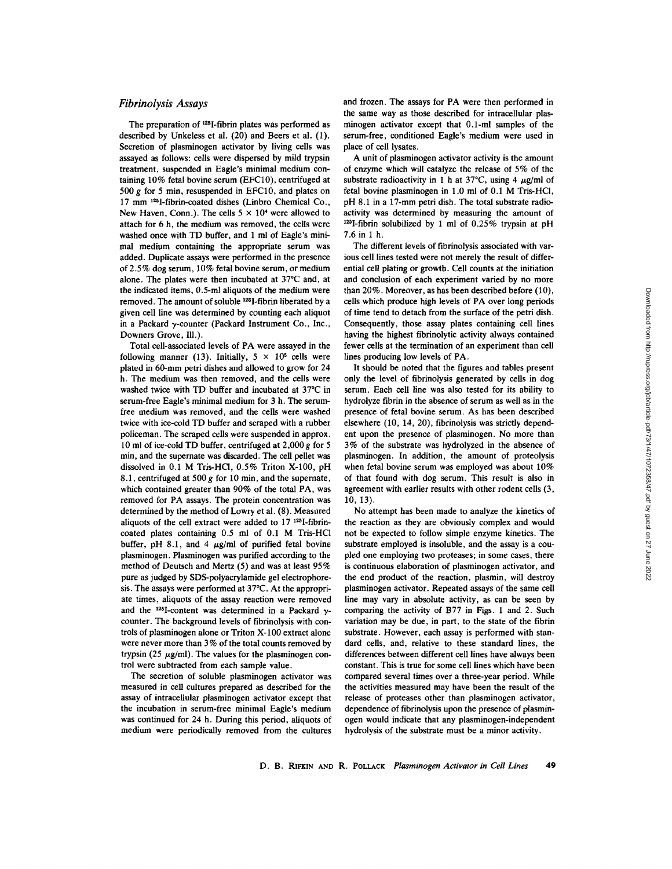## *Fibrinolysis Assays*

The preparation of  $^{125}$ I-fibrin plates was performed as described by Unkeless et al. (20) and Beers et al. (1). Secretion of plasminogen activator by living cells was assayed as follows: cells were dispersed by mild trypsin treatment, suspended in Eagle's minimal medium containing 10% fetal bovine serum (EFC10), centrifuged at 500  $g$  for 5 min, resuspended in EFC10, and plates on 17 mm 125I-fibrin-coated dishes (Linbro Chemical Co., New Haven, Conn.). The cells  $5 \times 10^4$  were allowed to attach for 6 h, the medium was removed, the cells were washed once with TD buffer, and 1 ml of Eagle's minimal medium containing the appropriate serum was added. Duplicate assays were performed in the presence of 2.5% dog serum, 10% fetal bovine serum, or medium alone. The plates were then incubated at  $37^{\circ}$ C and, at the indicated items, 0.5-ml aliquots of the medium were removed. The amount of soluble 125I-fibrin liberated by a given cell line was determined by counting each aliquot in a Packard  $\gamma$ -counter (Packard Instrument Co., Inc., Downers Grove, Ill.).

Total cell-associated levels of PA were assayed in the following manner (13). Initially,  $5 \times 10^5$  cells were plated in 60-mm petri dishes and allowed to grow for 24 h. The medium was then removed, and the cells were washed twice with TD buffer and incubated at 37°C in serum-free Eagle's minimal medium for 3 h. The serumfree medium was removed, and the cells were washed twice with ice-cold TD buffer and scraped with a rubber policeman. The scraped cells were suspended in approx. 10 ml of ice-cold TD buffer, centrifuged at  $2,000 g$  for 5 min, and the supernate was discarded. The cell pellet was dissolved in 0.1 M Tris-HC1, 0.5% Triton X-100, pH 8.1, centrifuged at 500 g for 10 min, and the supernate, which contained greater than 90% of the total PA, was removed for PA assays. The protein concentration was determined by the method of Lowry et al. (8). Measured aliquots of the cell extract were added to  $17^{125}$ I-fibrincoated plates containing 0.5 ml of 0.1 M Tris-HCl buffer, pH 8.1, and 4  $\mu$ g/ml of purified fetal bovine plasminogen. Plasminogen was purified according to the method of Deutsch and Mertz (5) and was at least 95% pure as judged by SDS-polyacrylamide gel electrophoresis. The assays were performed at  $37^{\circ}$ C. At the appropriate times, aliquots of the assay reaction were removed and the  $^{125}$ I-content was determined in a Packard  $\gamma$ counter. The background levels of fibrinolysis with controls of plasminogen alone or Triton X-100 extract alone were never more than 3% of the total counts removed by trypsin (25  $\mu$ g/ml). The values for the plasminogen control were subtracted from each sample value.

The secretion of soluble plasminogen activator was measured in cell cultures prepared as described for the assay of intracellular plasminogen activator except that the incubation in serum-free minimal Eagle's medium was continued for 24 h. During this period, aliquots of medium were periodically removed from the cultures and frozen. The assays for PA were then performed in the same way as those described for intracellular plasminogen activator except that 0.1-ml samples of the serum-free, conditioned Eagle's medium were used in place of cell lysates.

A unit of plasminogen activator activity is the amount of enzyme which will catalyze the release of 5 % of the substrate radioactivity in 1 h at 37°C, using 4  $\mu$ g/ml of fetal bovine plasminogen in 1.0 ml of 0.1 M Tris-HCl, pH 8.1 in a 17-mm petri dish. The total substrate radioactivity was determined by measuring the amount of  $125$ I-fibrin solubilized by 1 ml of 0.25% trypsin at pH 7.6 in 1 h.

The different levels of fibrinolysis associated with various cell lines tested were not merely the result of differential cell plating or growth. Cell counts at the initiation and conclusion of each experiment varied by no more than 20%. Moreover, as has been described before (10), cells which produce high levels of PA over long periods of time tend to detach from the surface of the petri dish. Consequently, those assay plates containing cell lines having the highest fibrinolytic activity always contained fewer cells at the termination of an experiment than cell lines producing low levels of PA.

It should be noted that the figures and tables present only the level of fibrinolysis generated by cells in dog serum. Each cell line was also tested for its ability to hydrolyze fibrin in the absence of serum as well as in the presence of fetal bovine serum. As has been described elsewhere (10, 14, 20), fibrinolysis was strictly dependent upon the presence of plasminogen. No more than 3% of the substrate was hydrolyzed in the absence of plasminogen. In addition, the amount of proteolysis when fetal bovine serum was employed was about 10% of that found with dog serum. This result is also in agreement with earlier results with other rodent ceils (3, 10, 13).

No attempt has been made to analyze the kinetics of the reaction as they are obviously complex and would not be expected to follow simple enzyme kinetics. The substrate employed is insoluble, and the assay is a coupled one employing two proteases; in some cases, there is continuous elaboration of plasminogen activator, and the end product of the reaction, plasmin, will destroy plasminogen activator. Repeated assays of the same cell line may vary in absolute activity, as can be seen by comparing the activity of B77 in Figs. 1 and 2. Such variation may be due, in part, to the state of the fibrin substrate. However, each assay is performed with standard cells, and, relative to these standard lines, the differences between different cell lines have always been constant. This is true for some cell lines which have been compared several times over a three-year period. While the activities measured may have been the result of the release of proteases other than plasminogen activator, dependence of fibrinolysis upon the presence of plasminogen would indicate that any plasminogen-independent hydrolysis of the substrate must be a minor activity.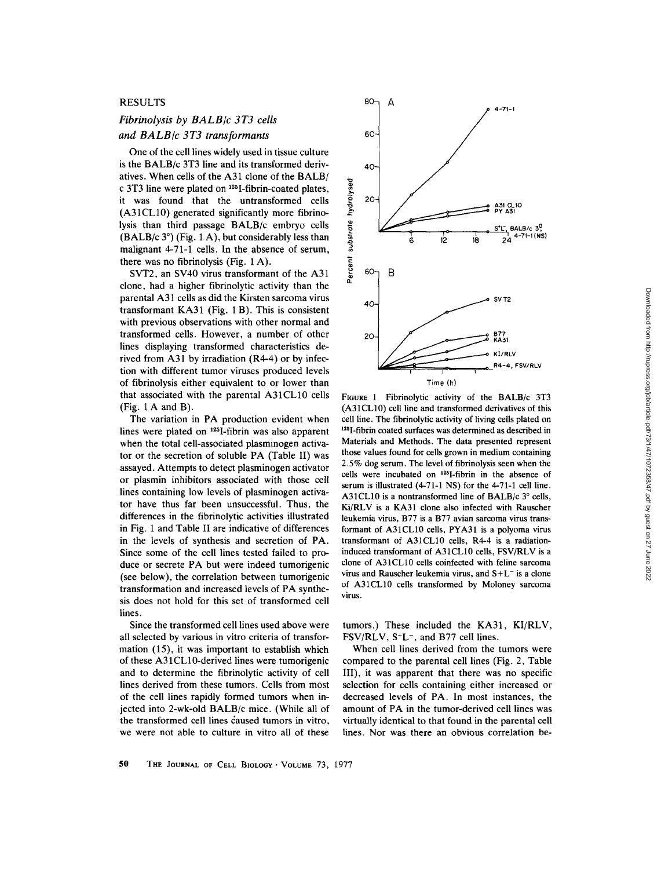## RESULTS

## *Fibrinolysis by BALB/c 3T3 cells and BALB/c 3T3 transformants*

One of the cell lines widely used in tissue culture is the BALB/c 3T3 line and its transformed derivatives. When cells of the A31 clone of the BALB/ c 3T3 line were plated on 125I-fibrin-coated plates, it was found that the untransformed cells (A31CL10) generated significantly more fibrinolysis than third passage BALB/c embryo cells (BALB/c  $3^\circ$ ) (Fig. 1 A), but considerably less than malignant 4-71-1 cells. In the absence of serum, there was no fibrinolysis (Fig. 1 A).

SVT2, an SV40 virus transformant of the A31 clone, had a higher fibrinolytic activity than the parental A31 cells as did the Kirsten sarcoma virus transformant KA31 (Fig. 1 B). This is consistent with previous observations with other normal and transformed cells. However, a number of other lines displaying transformed characteristics derived from A31 by irradiation (R4-4) or by infection with different tumor viruses produced levels of fibrinolysis either equivalent to or lower than that associated with the parental A31CL10 cells (Fig. 1 A and B).

The variation in PA production evident when lines were plated on  $^{125}$ I-fibrin was also apparent when the total cell-associated plasminogen activator or the secretion of soluble PA (Table II) was assayed. Attempts to detect plasminogen activator or plasmin inhibitors associated with those cell lines containing low levels of plasminogen activator have thus far been unsuccessful. Thus, the differences in the fibrinolytic activities illustrated in Fig. 1 and Table II are indicative of differences in the levels of synthesis and secretion of PA. Since some of the cell lines tested failed to produce or secrete PA but were indeed tumorigenic (see below), the correlation between tumorigenic transformation and increased levels of PA synthesis does not hold for this set of transformed cell lines.

Since the transformed cell lines used above were all selected by various in vitro criteria of transformation (15), it was important to establish which of these A31CL10-derived lines were tumorigenic and to determine the fibrinolytic activity of cell lines derived from these tumors. Cells from most of the cell lines rapidly formed tumors when injected into 2-wk-old BALB/c mice. (While all of the transformed cell lines caused tumors in vitro, we were not able to culture in vitro all of these



FIGURE 1 Fibrinolytic activity of the BALB/c 3T3 (A31CL10) cell line and transformed derivatives of this cell line. The fibrinolytic activity of living cells plated on 125I-fibrin coated surfaces was determined as described in Materials and Methods. The data presented represent those values found for cells grown in medium containing 2.5% dog serum. The level of fibrinolysis seen when the cells were incubated on  $^{125}$ I-fibrin in the absence of serum is illustrated (4-71-1 NS) for the 4-71-1 cell line. A31CL10 is a nontransformed line of BALB/c  $3^\circ$  cells, Ki/RLV is a KA31 clone also infected with Rauscher leukemia virus, B77 is a B77 avian sarcoma virus transformant of A31CL10 cells, PYA31 is a polyoma virus transformant of A31CL10 cells, R4-4 is a radiationinduced transformant of A31CL10 cells, FSV/RLV is a clone of A31CL10 cells coinfected with feline sarcoma virus and Rauscher leukemia virus, and  $S+L^-$  is a clone of A31CL10 cells transformed by Moloney sarcoma virus.

tumors.) These included the KA31, KI/RLV,  $FSV/RLV$ ,  $S^+L^-$ , and  $B77$  cell lines.

When cell lines derived from the tumors were compared to the parental cell lines (Fig. 2, Table III), it was apparent that there was no specific selection for cells containing either increased or decreased levels of PA. In most instances, the amount of PA in the tumor-derived cell lines was virtually identical to that found in the parental cell lines. Nor was there an obvious correlation be-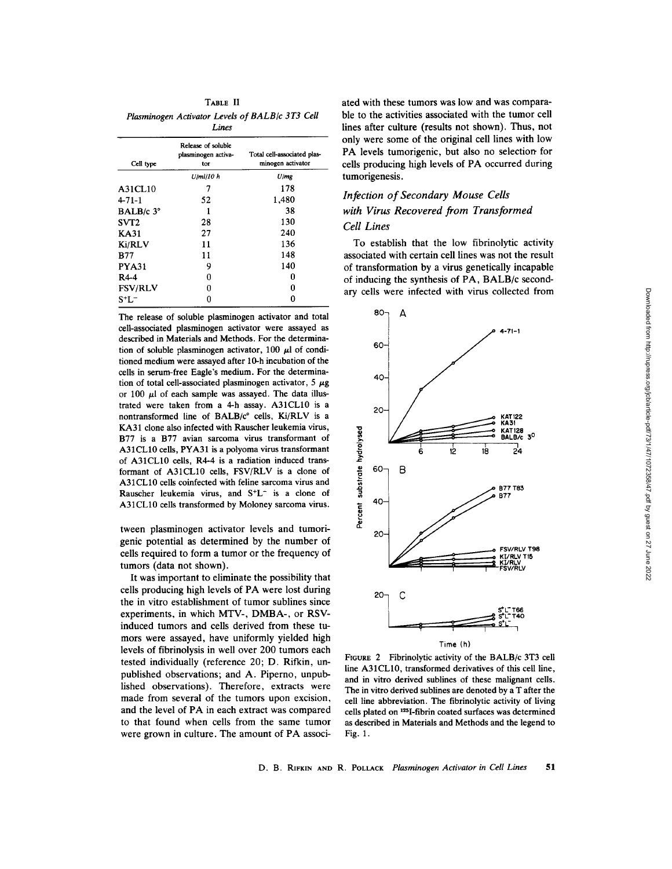TABLE II *Plasminogen Activator Levels of BALB/c 3T3 Cell Lines* 

| Release of soluble<br>plasminogen activa-<br>tor | Total cell-associated plas-<br>minogen activator |
|--------------------------------------------------|--------------------------------------------------|
| $U$ <i>ml</i> $10h$                              | U/mg                                             |
| 7                                                | 178                                              |
| 52                                               | 1,480                                            |
| 1                                                | 38                                               |
| 28                                               | 130                                              |
| 27                                               | 240                                              |
| 11                                               | 136                                              |
| 11                                               | 148                                              |
| 9                                                | 140                                              |
| 0                                                | 0                                                |
| 0                                                | 0                                                |
| O                                                |                                                  |
|                                                  |                                                  |

The release of soluble plasminogen activator and total cell-associated plasminogen activator were assayed as described in Materials and Methods. For the determination of soluble plasminogen activator, 100  $\mu$ l of conditioned medium were assayed after 10-h incubation of the cells in serum-free Eagle's medium. For the determination of total cell-associated plasminogen activator,  $5 \mu$ g or 100  $\mu$ l of each sample was assayed. The data illustrated were taken from a 4-h assay. A31CL10 is a nontransformed line of BALB/c° cells, Ki/RLV is a KA31 clone also infected with Rauscher leukemia virus, B77 is a B77 avian sarcoma virus transformant of A31CL10 cells, PYA31 is a polyoma virus transformant of A31CL10 cells, R4-4 is a radiation induced transformant of A31CL10 cells, FSV/RLV is a clone of A31 CL10 cells coinfected with feline sarcoma virus and Rauscher leukemia virus, and  $S^+L^-$  is a clone of A31CL10 cells transformed by Moloney sarcoma virus.

tween plasminogen activator levels and tumorigenic potential as determined by the number of cells required to form a tumor or the frequency of tumors (data not shown).

It was important to eliminate the possibility that cells producing high levels of PA were lost during the in vitro establishment of tumor sublines since experiments, in which MTV-, DMBA-, or RSVinduced tumors and cells derived from these tumors were assayed, have uniformly yielded high levels of fibrinolysis in well over 200 tumors each tested individually (reference 20; D. Rifkin, unpublished observations; and A. Piperno, unpublished observations). Therefore, extracts were made from several of the tumors upon excision, and the level of PA in each extract was compared to that found when cells from the same tumor were grown in culture. The amount of PA associated with these tumors was low and was comparable to the activities associated with the tumor cell lines after culture (results not shown). Thus, not only were some of the original cell lines with low PA levels tumorigenic, but also no selection for cells producing high levels of PA occurred during tumorigenesis.

# *Infection of Secondary Mouse Cells with Virus Recovered from Transformed Cell Lines*

To establish that the low fibrinolytic activity associated with certain cell lines was not the result

of transformation by a virus genetically incapable of inducing the synthesis of PA, BALB/c secondary cells were infected with virus collected from



FIGURE 2 Fibrinolytic activity of the BALB/c 3T3 cell line A31CL10, transformed derivatives of this cell line, and in vitro derived sublines of these malignant cells. The in vitro derived sublines are denoted by a T after the cell line abbreviation. The fibrinolytic activity of living cells plated on 125I-fibrin coated surfaces was determined as described in Materials and Methods and the legend to Fig. 1.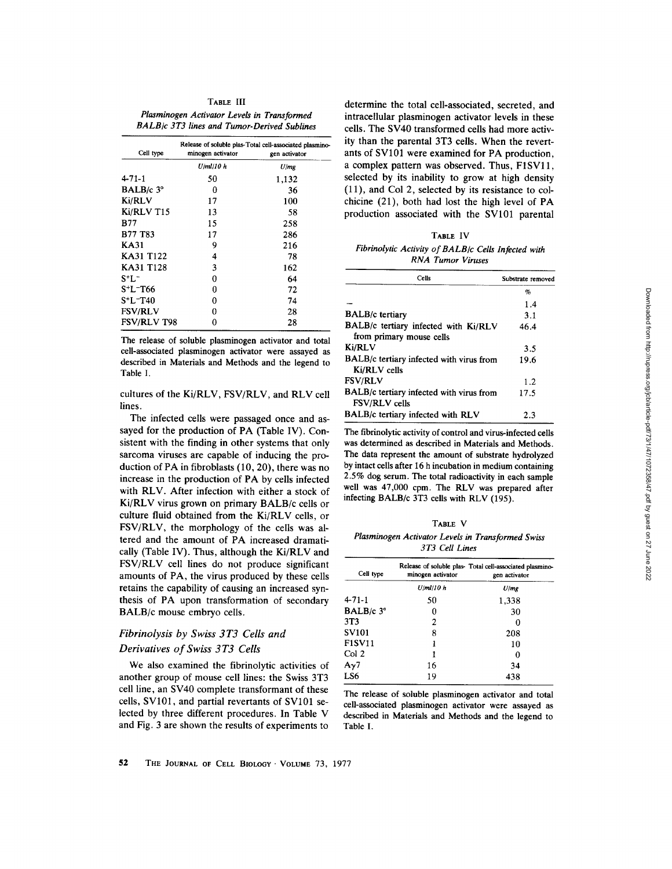**TABLE** III *Plasminogen Activator Levels in Transformed BALB/c 3T3 lines and Tumor-Derived Sublines* 

| Cell type                         | minogen activator | Release of soluble plas-Total cell-associated plasmino-<br>gen activator |
|-----------------------------------|-------------------|--------------------------------------------------------------------------|
|                                   | U/ml/10 h         | U/mg                                                                     |
| 4-71-1                            | 50                | 1,132                                                                    |
| BALB/ $c$ 3 $\degree$             | 0                 | 36                                                                       |
| Ki/RLV                            | 17                | 100                                                                      |
| Ki/RLV T15                        | 13                | 58                                                                       |
| <b>B77</b>                        | 15                | 258                                                                      |
| <b>B77 T83</b>                    | 17                | 286                                                                      |
| KA31                              | 9                 | 216                                                                      |
| KA31 T122                         | 4                 | 78                                                                       |
| KA31 T128                         | 3                 | 162                                                                      |
| S+L=                              | 0                 | 64                                                                       |
| S <sup>+</sup> L <sup>-</sup> T66 | 0                 | 72                                                                       |
| $S+L-T40$                         | 0                 | 74                                                                       |
| <b>FSV/RLV</b>                    | 0                 | 28                                                                       |
| <b>FSV/RLV T98</b>                | 0                 | 28                                                                       |

The release of soluble plasminogen activator and total cell-associated plasminogen activator were assayed as described in Materials and Methods and the legend to Table I.

cultures of the Ki/RLV, FSV/RLV, and RLV cell lines.

The infected cells were passaged once and assayed for the production of PA (Table IV). Consistent with the finding in other systems that only sarcoma viruses are capable of inducing the production of PA in fibroblasts (10, 20), there was no increase in the production of PA by cells infected with RLV. After infection with either a stock of Ki/RLV virus grown on primary BALB/c cells or culture fluid obtained from the Ki/RLV cells, or FSV/RLV, the morphology of the cells was altered and the amount of PA increased dramatically (Table IV). Thus, although the Ki/RLV and FSV/RLV cell lines do not produce significant amounts of PA, the virus produced by these cells retains the capability of causing an increased synthesis of PA upon transformation of secondary BALB/c mouse embryo cells.

# *Fibrinolysis by Swiss 3T3 Cells and Derivatives of Swiss 3 T3 Cells*

We also examined the fibrinolytic activities of another group of mouse cell lines: the Swiss 3T3 cell line, an SV40 complete transformant of these cells, SV101, and partial revertants of SV101 selected by three different procedures. In Table V and Fig. 3 are shown the results of experiments to

determine the total cell-associated, secreted, and intracellular plasminogen activator levels in these cells. The SV40 transformed cells had more activity than the parental 3T3 cells. When the revertants of SV101 were examined for PA production, a complex pattern was observed. Thus, F1SV11, selected by its inability to grow at high density (11), and Col 2, selected by its resistance to colchicine (21), both had lost the high level of PA production associated with the SV101 parental

|                                                     | TABLE IV |                          |  |
|-----------------------------------------------------|----------|--------------------------|--|
| Fibrinolytic Activity of BALB/c Cells Infected with |          |                          |  |
|                                                     |          | <b>RNA Tumor Viruses</b> |  |

| Cells                                                            | Substrate removed |
|------------------------------------------------------------------|-------------------|
|                                                                  | %                 |
|                                                                  | 1.4               |
| <b>BALB/c</b> tertiary                                           | 3.1               |
| BALB/c tertiary infected with Ki/RLV<br>from primary mouse cells | 46.4              |
| Ki/RLV                                                           | 3.5               |
| BALB/c tertiary infected with virus from<br>Ki/RLV cells         | 19.6              |
| <b>FSV/RLV</b>                                                   | 1.2.              |
| BALB/c tertiary infected with virus from<br><b>FSV/RLV</b> cells | 17.5              |
| BALB/c tertiary infected with RLV                                | 2.3               |

The fibrinolytic activity of control and virus-infected cells was determined as described in Materials and Methods. The data represent the amount of substrate hydrolyzed by intact cells after 16 h incubation in medium containing 2.5% dog serum. The total radioactivity in each sample well was 47,000 cpm. The RLV was prepared after infecting BALB/c 3T3 cells with RLV (195).

| ш |  |
|---|--|
|---|--|

*Plasminogen Activator Levels in Transformed Swiss 3T3 Cell Lines* 

| Cell type           | minogen activator | Release of soluble plas- Total cell-associated plasmino-<br>gen activator |
|---------------------|-------------------|---------------------------------------------------------------------------|
|                     | $U$ /ml/10 $h$    | U/mg                                                                      |
| $4 - 71 - 1$        | 50                | 1,338                                                                     |
| BALB/ $c$ $3^\circ$ | 0                 | 30                                                                        |
| 3T <sub>3</sub>     | 2                 | 0                                                                         |
| <b>SV101</b>        | 8                 | 208                                                                       |
| <b>F1SV11</b>       |                   | 10                                                                        |
| Col 2               |                   | о                                                                         |
| $A_{\gamma}$ 7      | 16                | 34                                                                        |
| LS6                 | 19                | 438                                                                       |

The release of soluble plasminogen activator and total cell-associated plasminogen activator were assayed as described in Materials and Methods and the legend to Table I.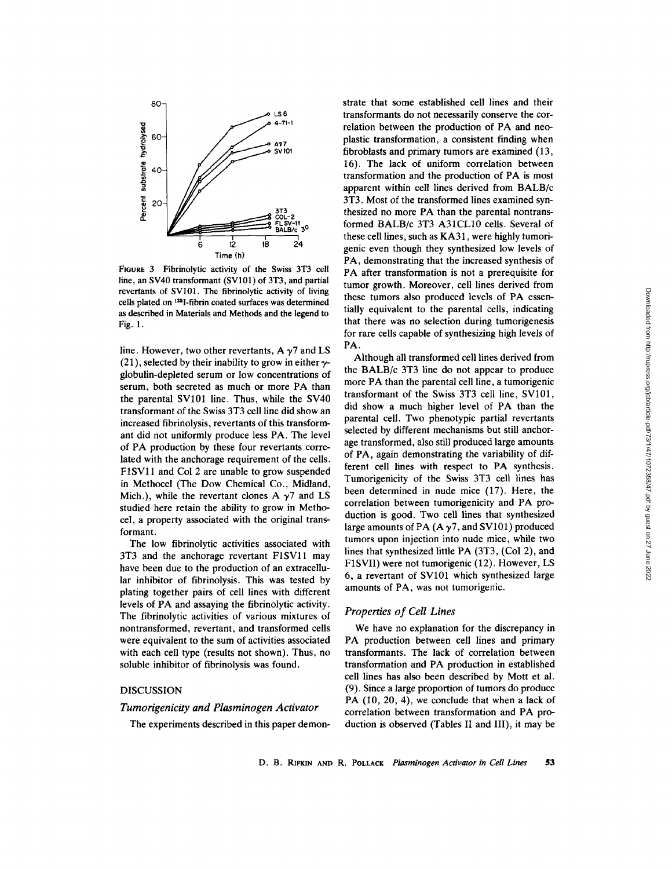

FIGURE 3 Fibrinolytic activity of the Swiss 3T3 cell line, an SV40 transformant (SV101) of 3T3, and partial revertants of SV101. The fibrinolytic activity of living cells plated on 125I-fibrin coated surfaces was determined as described in Materials and Methods and the legend to Fig. 1.

line. However, two other revertants,  $A \gamma$ <sup>7</sup> and LS (21), selected by their inability to grow in either  $\gamma$ globulin-depleted serum or low concentrations of serum, both secreted as much or more PA than the parental SV101 line. Thus, while the SV40 transformant of the Swiss 3T3 cell line did show an increased fibrinolysis, revertants of this transformant did not uniformly produce less PA. The level of PA production by these four revertants correlated with the anchorage requirement of the cells. F1SV11 and Col 2 are unable to grow suspended in Methocel (The Dow Chemical Co., Midland, Mich.), while the revertant clones A  $\gamma$ 7 and LS studied here retain the ability to grow in Methocel, a property associated with the original transformant.

The low fibrinolytic activities associated with 3T3 and the anchorage revertant F1SVll may have been due to the production of an extracellular inhibitor of fibrinolysis. This was tested by plating together pairs of cell lines with different levels of PA and assaying the fibrinolytic activity. The fibrinolytic activities of various mixtures of nontransformed, revertant, and transformed cells were equivalent to the sum of activities associated with each cell type (results not shown). Thus, no soluble inhibitor of fibrinolysis was found.

## DISCUSSION

## *Tumorigenicity and Plasminogen Activator*

The experiments described in this paper demon-

strate that some established cell lines and their transformants do not necessarily conserve the correlation between the production of PA and neoplastic transformation, a consistent finding when fibroblasts and primary tumors are examined (13, 16). The lack of uniform correlation between transformation and the production of PA is most apparent within cell lines derived from BALB/c 3T3. Most of the transformed lines examined synthesized no more PA than the parental nontransformed BALB/c 3T3 A31CL10 cells. Several of these cell lines, such as KA31, were highly tumorigenic even though they synthesized low levels of PA, demonstrating that the increased synthesis of PA after transformation is not a prerequisite for tumor growth. Moreover, cell lines derived from these tumors also produced levels of PA essentially equivalent to the parental cells, indicating that there was no selection during tumorigenesis for rare cells capable of synthesizing high levels of PA.

Although all transformed cell lines derived from the BALB/c 3T3 line do not appear to produce more PA than the parental cell line, a tumorigenic transformant of the Swiss 3T3 cell line, SV101, did show a much higher level of PA than the parental cell. Two phenotypic partial revertants selected by different mechanisms but still anchorage transformed, also still produced large amounts of PA, again demonstrating the variability of different cell lines with respect to PA synthesis. Tumorigenicity of the Swiss 3T3 cell lines has been determined in nude mice (17). Here, the correlation between tumorigenicity and PA production is good. Two cell lines that synthesized large amounts of PA ( $A \gamma$ 7, and SV101) produced tumors upon injection into nude mice, while two lines that synthesized little PA (3T3, (Col 2), and F1SVII) were not tumorigenic (12). However, LS 6, a revertant of SV101 which synthesized large amounts of PA, was not tumorigenic.

## *Properties of Cell Lines*

We have no explanation for the discrepancy in PA production between cell lines and primary transformants. The lack of correlation between transformation and PA production in established cell lines has also been described by Mott et al. (9). Since a large proportion of tumors do produce PA  $(10, 20, 4)$ , we conclude that when a lack of correlation between transformation and PA production is observed (Tables II and III), it may be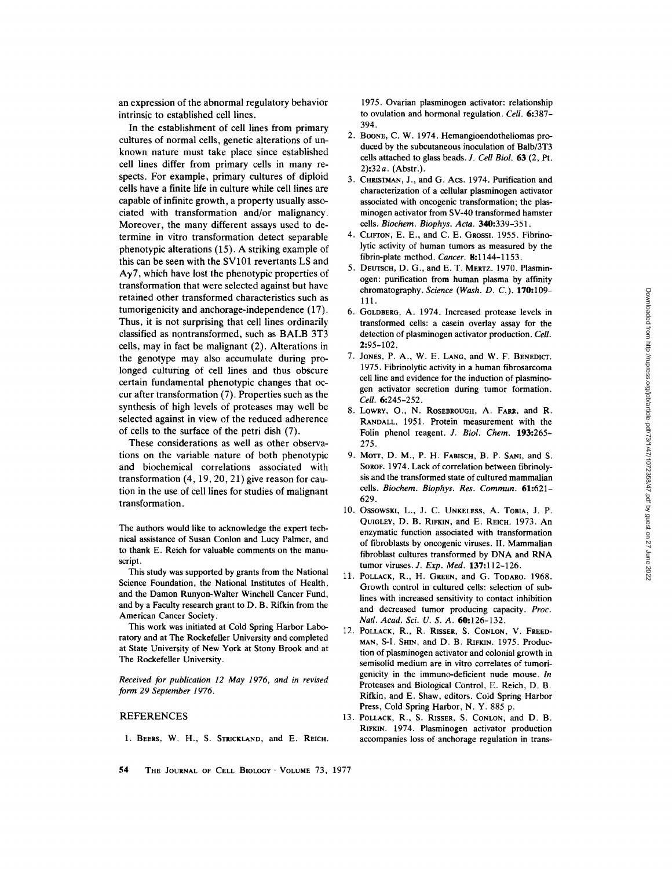an expression of the abnormal regulatory behavior intrinsic to established cell lines.

In the establishment of cell lines from primary cultures of normal cells, genetic alterations of unknown nature must take place since established cell lines differ from primary cells in many respects. For example, primary cultures of diploid cells have a finite life in culture while cell lines are capable of infinite growth, a property usually associated with transformation and/or malignancy. Moreover, the many different assays used to determine in vitro transformation detect separable phenotypic alterations (15). A striking example of this can be seen with the SV101 revertants LS and  $A_{\gamma}$ <sup>7</sup>, which have lost the phenotypic properties of transformation that were selected against but have retained other transformed characteristics such as tumorigenicity and anchorage-independence (17). Thus, it is not surprising that cell lines ordinarily classified as nontransformed, such as BALB 3T3 cells, may in fact be malignant (2). Alterations in the genotype may also accumulate during prolonged culturing of cell lines and thus obscure certain fundamental phenotypic changes that occur after transformation (7). Properties such as the synthesis of high levels of proteases may well be selected against in view of the reduced adherence of cells to the surface of the petri dish (7).

These considerations as well as other observations on the variable nature of both phenotypic and biochemical correlations associated with transformation (4, 19, 20, 21) give reason for caution in the use of cell lines for studies of malignant transformation.

The authors would like to acknowledge the expert technical assistance of Susan Conlon and Lucy Palmer, and to thank E. Reich for valuable comments on the manuscript.

This study was supported by grants from the National Science Foundation, the National Institutes of Health, and the Damon Runyon-Walter Winchell Cancer Fund, and by a Faculty research grant to D. B. Rifkin from the American Cancer Society.

This work was initiated at Cold Spring Harbor Laboratory and at The Rockefeller University and completed at State University of New York at Stony Brook and at The Rockefeller University.

*Received for publication 12 May 1976, and in revised form 29 September 1976.* 

### REFERENCES

1. BEERS, W. H., S. STRICKLAND, and E. REICH.

1975. Ovarian plasminogen activator: relationship to ovulation and hormonal regulation. *Cell.* 6:387-394.

- 2. BOONE, C. W. 1974. Hemangioendotheliomas produced by the subcutaneous inoculation of Balb/3T3 cells attached to glass beads. *J. Cell Biol.* 63 (2, Pt. 2):32a. (Abstr.).
- 3. CHRISTMAN, J., and G. Acs. 1974. Purification and characterization of a cellular plasminogen activator associated with oncogenic transformation; the plasminogen activator from SV-40 transformed hamster cells. *Biochem. Biophys. Acta.* 340:339-351.
- 4. CLIFTON, E. E., and C. E. GRossI. 1955. Fibrinolytic activity of human tumors as measured by the fibrin-plate method. *Cancer.* 8:1144-1153.
- 5. DEUTSCH, D. G., and E. T. MERTZ. 1970. Plasminogen: purification from human plasma by affinity chromatography. *Science (Wash. D. C.).* 170:109- 111.
- 6. GOLDBERG, A. 1974. Increased protease levels in transformed cells: a casein overlay assay for the detection of plasminogen activator production. *Cell.*  2:95-102.
- 7. JONES, P. A., W. E. LANG, and W. F. BENEDICT. 1975. Fibrinolytic activity in a human fibrosarcoma cell line and evidence for the induction of plasminogen activator secretion during tumor formation. *Cell.* 6:245-252.
- 8. LOWRY, O., N. ROSEBROUGH, A. FARR, and R. RANDALL. 1951. Protein measurement with the Folin phenol reagent. *J. Biol. Chem.* 193:265- 275.
- 9. MOTT, D. M., P. H. FABISCH, B. P. SANI, and S. SOROF. 1974. Lack of correlation between fibrinolysis and the transformed state of cultured mammalian cells. *Biochem. Biophys. Res. Commun.* 61:621- 629.
- 10. OssowsKl, L., J. C. UNKELESS, A. TORIA, J. P. QUIGLEY, D. B. RIFKIN, and E. REICH. 1973. An enzymatic function associated with transformation of fibroblasts by oncogenic viruses. II. Mammalian fibroblast cultures transformed by DNA and RNA tumor viruses. *J. Exp. Med.* 137:112-126.
- 11. POLLACK, R., H. GREEN, and G. TODARO. 1968. Growth control in cultured cells: selection of sublines with increased sensitivity to contact inhibition and decreased tumor producing capacity. *Proc. Natl. Acad. Sci. U. S. A.* 60:126-132.
- 12. POLLACK, R., R. RISSER, S. CONLON, V. FREED-MAN, S-I. SHIN, and D. B. RIFKIN. 1975. Production of plasminogen activator and colonial growth in semisolid medium are in vitro correlates of tumorigenicity in the immuno-deficient nude mouse. *In*  Proteases and Biological Control, E. Reich, D. B. Rifkin, and E. Shaw, editors. Cold Spring Harbor Press, Cold Spring Harbor, N. Y. 885 p.
- 13. POLLACK, R., S. RISSER, S. CONLON, and D. B. RIFKIN. 1974. Plasminogen activator production accompanies loss of anchorage regulation in trans-
- **54** THE JOURNAL OF CELL BIOLOGY' VOLUME 73, 1977